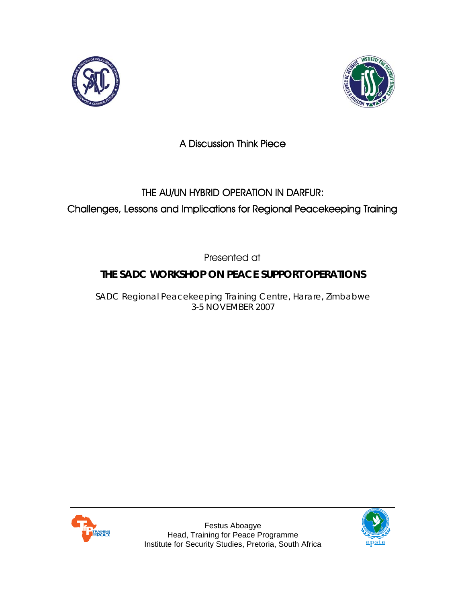



# A Discussion Think Piece

# THE AU/UN HYBRID OPERATION IN DARFUR: Challenges, Lessons and Implications for Regional Peacekeeping Training

Presented at

# **THE SADC WORKSHOP ON PEACE SUPPORT OPERATIONS**

SADC Regional Peacekeeping Training Centre, Harare, Zimbabwe 3-5 NOVEMBER 2007



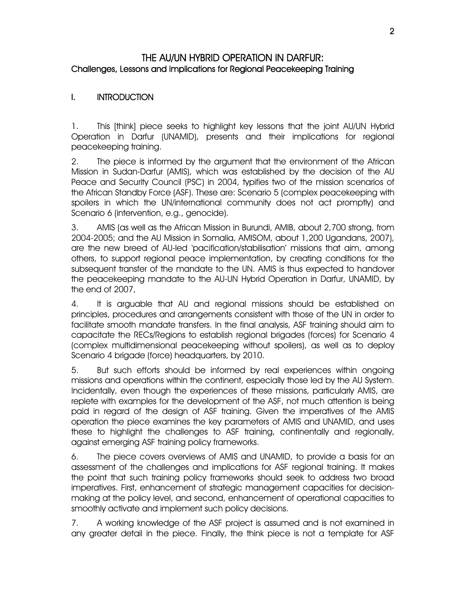### THE AU/UN HYBRID OPERATION IN DARFUR: Challenges, Lessons and Implications for Regional Peacekeeping Training

### I. INTRODUCTION

1. This [think] piece seeks to highlight key lessons that the joint AU/UN Hybrid Operation in Darfur (UNAMID), presents and their implications for regional peacekeeping training.

2. The piece is informed by the argument that the environment of the African Mission in Sudan-Darfur (AMIS), which was established by the decision of the AU Peace and Security Council (PSC) in 2004, typifies two of the mission scenarios of the African Standby Force (ASF). These are: Scenario 5 (complex peacekeeping with spoilers in which the UN/international community does not act promptly) and Scenario 6 (intervention, e.g., genocide).

3. AMIS (as well as the African Mission in Burundi, AMIB, about 2,700 strong, from 2004-2005; and the AU Mission in Somalia, AMISOM, about 1,200 Ugandans, 2007), are the new breed of AU-led 'pacification/stabilisation' missions that aim, among others, to support regional peace implementation, by creating conditions for the subsequent transfer of the mandate to the UN. AMIS is thus expected to handover the peacekeeping mandate to the AU-UN Hybrid Operation in Darfur, UNAMID, by the end of 2007,

4. It is arguable that AU and regional missions should be established on principles, procedures and arrangements consistent with those of the UN in order to facilitate smooth mandate transfers. In the final analysis, ASF training should aim to capacitate the RECs/Regions to establish regional brigades (forces) for Scenario 4 (complex multidimensional peacekeeping without spoilers), as well as to deploy Scenario 4 brigade (force) headquarters, by 2010.

5. But such efforts should be informed by real experiences within ongoing missions and operations within the continent, especially those led by the AU System. Incidentally, even though the experiences of these missions, particularly AMIS, are replete with examples for the development of the ASF, not much attention is being paid in regard of the design of ASF training. Given the imperatives of the AMIS operation the piece examines the key parameters of AMIS and UNAMID, and uses these to highlight the challenges to ASF training, continentally and regionally, against emerging ASF training policy frameworks.

6. The piece covers overviews of AMIS and UNAMID, to provide a basis for an assessment of the challenges and implications for ASF regional training. It makes the point that such training policy frameworks should seek to address two broad imperatives. First, enhancement of strategic management capacities for decisionmaking at the policy level, and second, enhancement of operational capacities to smoothly activate and implement such policy decisions.

7. A working knowledge of the ASF project is assumed and is not examined in any greater detail in the piece. Finally, the think piece is not a template for ASF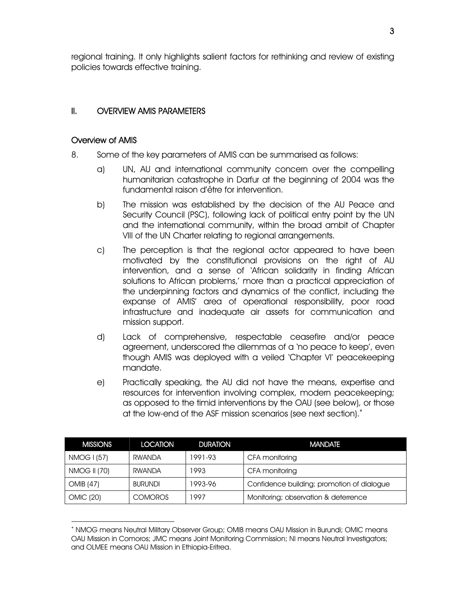regional training. It only highlights salient factors for rethinking and review of existing policies towards effective training.

#### II. OVERVIEW AMIS PARAMETERS

#### Overview of AMIS

-

- 8. Some of the key parameters of AMIS can be summarised as follows:
	- a) UN, AU and international community concern over the compelling humanitarian catastrophe in Darfur at the beginning of 2004 was the fundamental raison d'être for intervention.
	- b) The mission was established by the decision of the AU Peace and Security Council (PSC), following lack of political entry point by the UN and the international community, within the broad ambit of Chapter VIII of the UN Charter relating to regional arrangements.
	- c) The perception is that the regional actor appeared to have been motivated by the constitutional provisions on the right of AU intervention, and a sense of 'African solidarity in finding African solutions to African problems,' more than a practical appreciation of the underpinning factors and dynamics of the conflict, including the expanse of AMIS' area of operational responsibility, poor road infrastructure and inadequate air assets for communication and mission support.
	- d) Lack of comprehensive, respectable ceasefire and/or peace agreement, underscored the dilemmas of a 'no peace to keep', even though AMIS was deployed with a veiled 'Chapter VI' peacekeeping mandate.
	- e) Practically speaking, the AU did not have the means, expertise and resources for intervention involving complex, modern peacekeeping; as opposed to the timid interventions by the OAU (see below), or those at the low-end of the ASF mission scenarios (see next section).<sup>\*</sup>

| <b>MISSIONS</b>  | <b>LOCATION</b> | <b>DURATION</b> | <b>MANDATE</b>                             |
|------------------|-----------------|-----------------|--------------------------------------------|
| NMOG I (57)      | RWANDA          | 1991-93         | CFA monitoring                             |
| NMOG II (70)     | RWANDA          | 1993            | CFA monitoring                             |
| OMIB (47)        | <b>BURUNDI</b>  | 1993-96         | Confidence building; promotion of dialogue |
| <b>OMIC (20)</b> | <b>COMOROS</b>  | 1997            | Monitoring; observation & deterrence       |

<sup>∗</sup> NMOG means Neutral Military Observer Group; OMIB means OAU Mission in Burundi; OMIC means OAU Mission in Comoros; JMC means Joint Monitoring Commission; NI means Neutral Investigators; and OLMEE means OAU Mission in Ethiopia-Eritrea.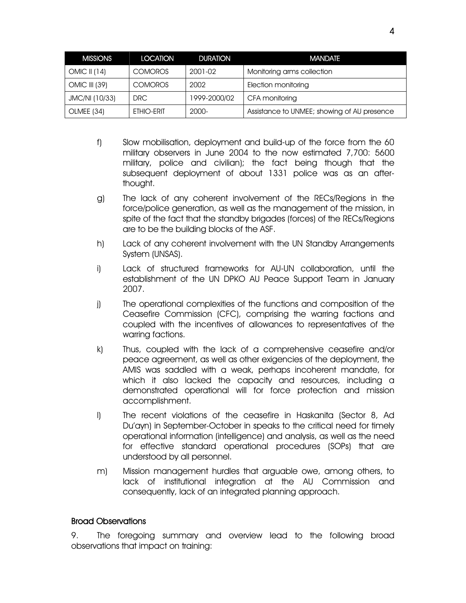| <b>MISSIONS</b> | <b>LOCATION</b> | <b>DURATION</b> | <b>MANDATE</b>                              |
|-----------------|-----------------|-----------------|---------------------------------------------|
| OMIC II $(14)$  | <b>COMOROS</b>  | 2001-02         | Monitoring arms collection                  |
| OMIC III (39)   | <b>COMOROS</b>  | 2002            | Election monitoring                         |
| JMC/NI (10/33)  | DRC.            | 1999-2000/02    | CFA monitoring                              |
| OLMEE (34)      | ETHIO-ERIT      | 2000-           | Assistance to UNMEE; showing of AU presence |

- f) Slow mobilisation, deployment and build-up of the force from the 60 military observers in June 2004 to the now estimated 7,700: 5600 military, police and civilian); the fact being though that the subsequent deployment of about 1331 police was as an afterthought.
- g) The lack of any coherent involvement of the RECs/Regions in the force/police generation, as well as the management of the mission, in spite of the fact that the standby brigades (forces) of the RECs/Regions are to be the building blocks of the ASF.
- h) Lack of any coherent involvement with the UN Standby Arrangements System (UNSAS).
- i) Lack of structured frameworks for AU-UN collaboration, until the establishment of the UN DPKO AU Peace Support Team in January 2007.
- j) The operational complexities of the functions and composition of the Ceasefire Commission (CFC), comprising the warring factions and coupled with the incentives of allowances to representatives of the warring factions.
- k) Thus, coupled with the lack of a comprehensive ceasefire and/or peace agreement, as well as other exigencies of the deployment, the AMIS was saddled with a weak, perhaps incoherent mandate, for which it also lacked the capacity and resources, including a demonstrated operational will for force protection and mission accomplishment.
- l) The recent violations of the ceasefire in Haskanita (Sector 8, Ad Du'ayn) in September-October in speaks to the critical need for timely operational information (intelligence) and analysis, as well as the need for effective standard operational procedures (SOPs) that are understood by all personnel.
- m) Mission management hurdles that arguable owe, among others, to lack of institutional integration at the AU Commission and consequently, lack of an integrated planning approach.

#### Broad Observations

9. The foregoing summary and overview lead to the following broad observations that impact on training: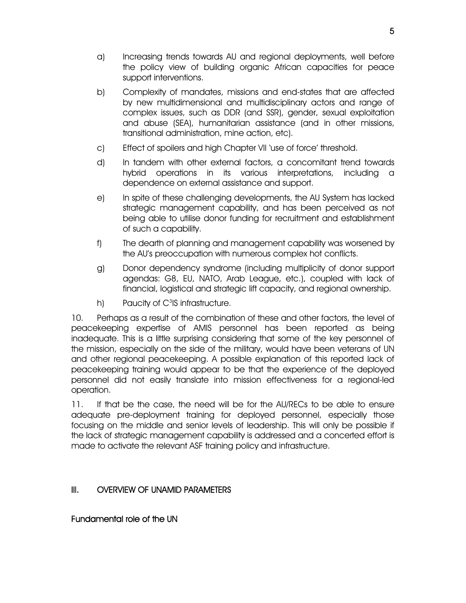- a) Increasing trends towards AU and regional deployments, well before the policy view of building organic African capacities for peace support interventions.
- b) Complexity of mandates, missions and end-states that are affected by new multidimensional and multidisciplinary actors and range of complex issues, such as DDR (and SSR), gender, sexual exploitation and abuse (SEA), humanitarian assistance (and in other missions, transitional administration, mine action, etc).
- c) Effect of spoilers and high Chapter VII 'use of force' threshold.
- d) In tandem with other external factors, a concomitant trend towards hybrid operations in its various interpretations, including a dependence on external assistance and support.
- e) In spite of these challenging developments, the AU System has lacked strategic management capability, and has been perceived as not being able to utilise donor funding for recruitment and establishment of such a capability.
- f) The dearth of planning and management capability was worsened by the AU's preoccupation with numerous complex hot conflicts.
- g) Donor dependency syndrome (including multiplicity of donor support agendas: G8, EU, NATO, Arab League, etc.), coupled with lack of financial, logistical and strategic lift capacity, and regional ownership.
- h) Paucity of C $3$ IS infrastructure.

10. Perhaps as a result of the combination of these and other factors, the level of peacekeeping expertise of AMIS personnel has been reported as being inadequate. This is a little surprising considering that some of the key personnel of the mission, especially on the side of the military, would have been veterans of UN and other regional peacekeeping. A possible explanation of this reported lack of peacekeeping training would appear to be that the experience of the deployed personnel did not easily translate into mission effectiveness for a regional-led operation.

11. If that be the case, the need will be for the AU/RECs to be able to ensure adequate pre-deployment training for deployed personnel, especially those focusing on the middle and senior levels of leadership. This will only be possible if the lack of strategic management capability is addressed and a concerted effort is made to activate the relevant ASF training policy and infrastructure.

# III. OVERVIEW OF UNAMID PARAMETERS

#### Fundamental role of the UN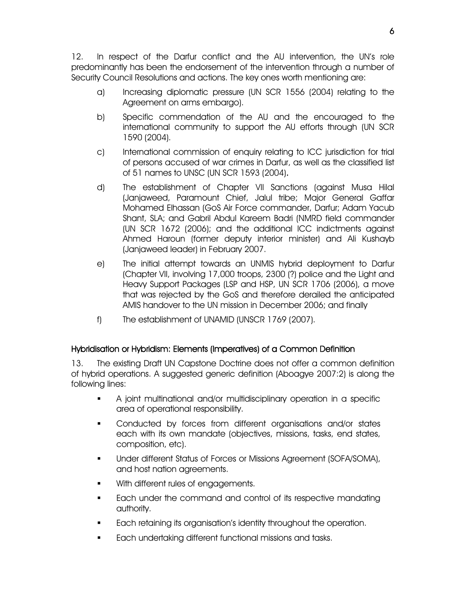12. In respect of the Darfur conflict and the AU intervention, the UN's role predominantly has been the endorsement of the intervention through a number of Security Council Resolutions and actions. The key ones worth mentioning are:

- a) Increasing diplomatic pressure (UN SCR 1556 (2004) relating to the Agreement on arms embargo).
- b) Specific commendation of the AU and the encouraged to the international community to support the AU efforts through (UN SCR 1590 (2004).
- c) International commission of enquiry relating to ICC jurisdiction for trial of persons accused of war crimes in Darfur, as well as the classified list of 51 names to UNSC (UN SCR 1593 (2004).
- d) The establishment of Chapter VII Sanctions (against Musa Hilal (Janjaweed, Paramount Chief, Jalul tribe; Major General Gaffar Mohamed Elhassan (GoS Air Force commander, Darfur; Adam Yacub Shant, SLA; and Gabril Abdul Kareem Badri (NMRD field commander (UN SCR 1672 (2006); and the additional ICC indictments against Ahmed Haroun (former deputy interior minister) and Ali Kushayb (Janjaweed leader) in February 2007.
- e) The initial attempt towards an UNMIS hybrid deployment to Darfur (Chapter VII, involving 17,000 troops, 2300 (?) police and the Light and Heavy Support Packages (LSP and HSP, UN SCR 1706 (2006), a move that was rejected by the GoS and therefore derailed the anticipated AMIS handover to the UN mission in December 2006; and finally
- f) The establishment of UNAMID (UNSCR 1769 (2007).

#### Hybridisation or Hybridism: Elements (Imperatives) of a Common Definition

13. The existing Draft UN Capstone Doctrine does not offer a common definition of hybrid operations. A suggested generic definition (Aboagye 2007:2) is along the following lines:

- A joint multinational and/or multidisciplinary operation in a specific area of operational responsibility.
- **Conducted by forces from different organisations and/or states** each with its own mandate (objectives, missions, tasks, end states, composition, etc).
- Under different Status of Forces or Missions Agreement (SOFA/SOMA), and host nation agreements.
- With different rules of engagements.
- **Each under the command and control of its respective mandating** authority.
- Each retaining its organisation's identity throughout the operation.
- **Each undertaking different functional missions and tasks.**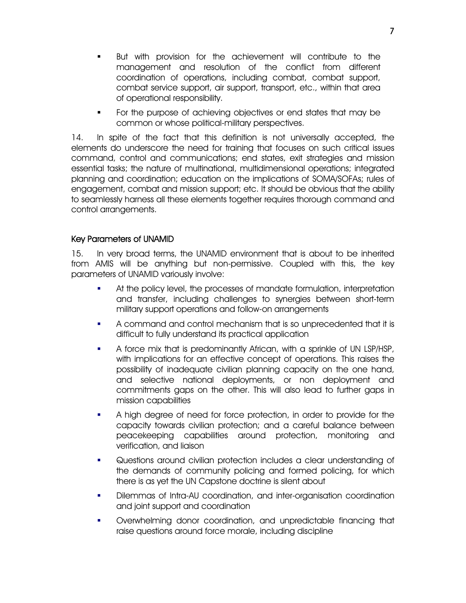- But with provision for the achievement will contribute to the management and resolution of the conflict from different coordination of operations, including combat, combat support, combat service support, air support, transport, etc., within that area of operational responsibility.
- For the purpose of achieving objectives or end states that may be common or whose political-military perspectives.

14. In spite of the fact that this definition is not universally accepted, the elements do underscore the need for training that focuses on such critical issues command, control and communications; end states, exit strategies and mission essential tasks; the nature of multinational, multidimensional operations; integrated planning and coordination; education on the implications of SOMA/SOFAs; rules of engagement, combat and mission support; etc. It should be obvious that the ability to seamlessly harness all these elements together requires thorough command and control arrangements.

#### Key Parameters of UNAMID

15. In very broad terms, the UNAMID environment that is about to be inherited from AMIS will be anything but non-permissive. Coupled with this, the key parameters of UNAMID variously involve:

- At the policy level, the processes of mandate formulation, interpretation and transfer, including challenges to synergies between short-term military support operations and follow-on arrangements
- A command and control mechanism that is so unprecedented that it is difficult to fully understand its practical application
- A force mix that is predominantly African, with a sprinkle of UN LSP/HSP, with implications for an effective concept of operations. This raises the possibility of inadequate civilian planning capacity on the one hand, and selective national deployments, or non deployment and commitments gaps on the other. This will also lead to further gaps in mission capabilities
- A high degree of need for force protection, in order to provide for the capacity towards civilian protection; and a careful balance between peacekeeping capabilities around protection, monitoring and verification, and liaison
- Questions around civilian protection includes a clear understanding of the demands of community policing and formed policing, for which there is as yet the UN Capstone doctrine is silent about
- Dilemmas of Intra-AU coordination, and inter-organisation coordination and joint support and coordination
- Overwhelming donor coordination, and unpredictable financing that raise questions around force morale, including discipline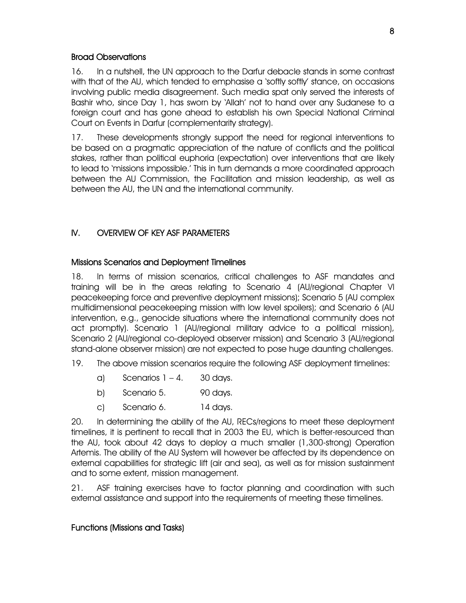### Broad Observations

16. In a nutshell, the UN approach to the Darfur debacle stands in some contrast with that of the AU, which tended to emphasise a 'softly softly' stance, on occasions involving public media disagreement. Such media spat only served the interests of Bashir who, since Day 1, has sworn by 'Allah' not to hand over any Sudanese to a foreign court and has gone ahead to establish his own Special National Criminal Court on Events in Darfur (complementarity strategy).

17. These developments strongly support the need for regional interventions to be based on a pragmatic appreciation of the nature of conflicts and the political stakes, rather than political euphoria (expectation) over interventions that are likely to lead to 'missions impossible.' This in turn demands a more coordinated approach between the AU Commission, the Facilitation and mission leadership, as well as between the AU, the UN and the international community.

# IV. OVERVIEW OF KEY ASF PARAMETERS

#### Missions Scenarios and Deployment Timelines

18. In terms of mission scenarios, critical challenges to ASF mandates and training will be in the areas relating to Scenario 4 (AU/regional Chapter VI peacekeeping force and preventive deployment missions); Scenario 5 (AU complex multidimensional peacekeeping mission with low level spoilers); and Scenario 6 (AU intervention, e.g., genocide situations where the international community does not act promptly). Scenario 1 (AU/regional military advice to a political mission), Scenario 2 (AU/regional co-deployed observer mission) and Scenario 3 (AU/regional stand-alone observer mission) are not expected to pose huge daunting challenges.

- 19. The above mission scenarios require the following ASF deployment timelines:
	- a) Scenarios  $1 4$ . 30 days.
	- b) Scenario 5. 90 days.
	- c) Scenario 6. 14 days.

20. In determining the ability of the AU, RECs/regions to meet these deployment timelines, it is pertinent to recall that in 2003 the EU, which is better-resourced than the AU, took about 42 days to deploy a much smaller (1,300-strong) Operation Artemis. The ability of the AU System will however be affected by its dependence on external capabilities for strategic lift (air and sea), as well as for mission sustainment and to some extent, mission management.

21. ASF training exercises have to factor planning and coordination with such external assistance and support into the requirements of meeting these timelines.

# Functions (Missions and Tasks)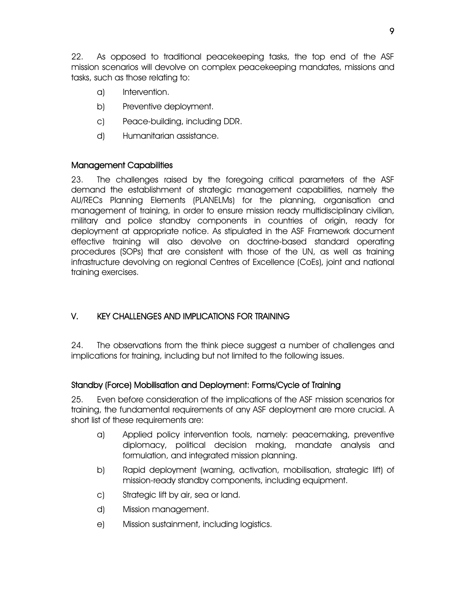22. As opposed to traditional peacekeeping tasks, the top end of the ASF mission scenarios will devolve on complex peacekeeping mandates, missions and tasks, such as those relating to:

- a) Intervention.
- b) Preventive deployment.
- c) Peace-building, including DDR.
- d) Humanitarian assistance.

#### Management Capabilities

23. The challenges raised by the foregoing critical parameters of the ASF demand the establishment of strategic management capabilities, namely the AU/RECs Planning Elements (PLANELMs) for the planning, organisation and management of training, in order to ensure mission ready multidisciplinary civilian, military and police standby components in countries of origin, ready for deployment at appropriate notice. As stipulated in the ASF Framework document effective training will also devolve on doctrine-based standard operating procedures (SOPs) that are consistent with those of the UN, as well as training infrastructure devolving on regional Centres of Excellence (CoEs), joint and national training exercises.

# V. KEY CHALLENGES AND IMPLICATIONS FOR TRAINING

24. The observations from the think piece suggest a number of challenges and implications for training, including but not limited to the following issues.

# Standby (Force) Mobilisation and Deployment: Forms/Cycle of Training

25. Even before consideration of the implications of the ASF mission scenarios for training, the fundamental requirements of any ASF deployment are more crucial. A short list of these requirements are:

- a) Applied policy intervention tools, namely: peacemaking, preventive diplomacy, political decision making, mandate analysis and formulation, and integrated mission planning.
- b) Rapid deployment (warning, activation, mobilisation, strategic lift) of mission-ready standby components, including equipment.
- c) Strategic lift by air, sea or land.
- d) Mission management.
- e) Mission sustainment, including logistics.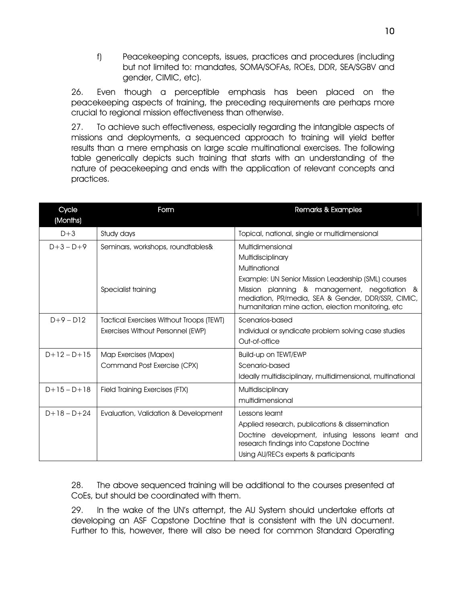f) Peacekeeping concepts, issues, practices and procedures (including but not limited to: mandates, SOMA/SOFAs, ROEs, DDR, SEA/SGBV and gender, CIMIC, etc).

26. Even though a perceptible emphasis has been placed on the peacekeeping aspects of training, the preceding requirements are perhaps more crucial to regional mission effectiveness than otherwise.

27. To achieve such effectiveness, especially regarding the intangible aspects of missions and deployments, a sequenced approach to training will yield better results than a mere emphasis on large scale multinational exercises. The following table generically depicts such training that starts with an understanding of the nature of peacekeeping and ends with the application of relevant concepts and practices.

| Cycle<br>(Months) | Form                                            | Remarks & Examples                                                                                                                                        |
|-------------------|-------------------------------------------------|-----------------------------------------------------------------------------------------------------------------------------------------------------------|
| $D+3$             | Study days                                      | Topical, national, single or multidimensional                                                                                                             |
| $D+3-D+9$         | Seminars, workshops, roundtables&               | Multidimensional                                                                                                                                          |
|                   |                                                 | Multidisciplinary                                                                                                                                         |
|                   |                                                 | Multinational                                                                                                                                             |
|                   |                                                 | Example: UN Senior Mission Leadership (SML) courses                                                                                                       |
|                   | Specialist training                             | Mission planning & management, negotiation &<br>mediation, PR/media, SEA & Gender, DDR/SSR, CIMIC,<br>humanitarian mine action, election monitoring, etc. |
| $D+9-D12$         | <b>Tactical Exercises Without Troops (TEWT)</b> | Scenarios-based                                                                                                                                           |
|                   | Exercises Without Personnel (EWP)               | Individual or syndicate problem solving case studies                                                                                                      |
|                   |                                                 | Out-of-office                                                                                                                                             |
| $D+12-D+15$       | Map Exercises (Mapex)                           | Build-up on TEWT/EWP                                                                                                                                      |
|                   | Command Post Exercise (CPX)                     | Scenario-based                                                                                                                                            |
|                   |                                                 | Ideally multidisciplinary, multidimensional, multinational                                                                                                |
| $D+15-D+18$       | Field Training Exercises (FTX)                  | Multidisciplinary                                                                                                                                         |
|                   |                                                 | multidimensional                                                                                                                                          |
| $D+18-D+24$       | Evaluation, Validation & Development            | Lessons learnt                                                                                                                                            |
|                   |                                                 | Applied research, publications & dissemination                                                                                                            |
|                   |                                                 | Doctrine development, infusing lessons learnt and<br>research findings into Capstone Doctrine                                                             |
|                   |                                                 | Using AU/RECs experts & participants                                                                                                                      |

28. The above sequenced training will be additional to the courses presented at CoEs, but should be coordinated with them.

29. In the wake of the UN's attempt, the AU System should undertake efforts at developing an ASF Capstone Doctrine that is consistent with the UN document. Further to this, however, there will also be need for common Standard Operating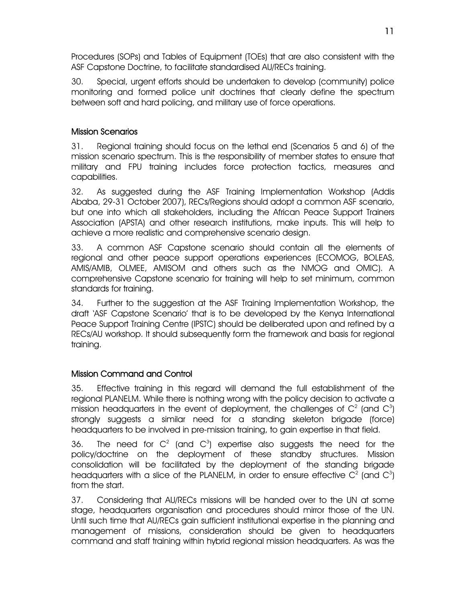Procedures (SOPs) and Tables of Equipment (TOEs) that are also consistent with the ASF Capstone Doctrine, to facilitate standardised AU/RECs training.

30. Special, urgent efforts should be undertaken to develop (community) police monitoring and formed police unit doctrines that clearly define the spectrum between soft and hard policing, and military use of force operations.

### Mission Scenarios

31. Regional training should focus on the lethal end (Scenarios 5 and 6) of the mission scenario spectrum. This is the responsibility of member states to ensure that military and FPU training includes force protection tactics, measures and capabilities.

32. As suggested during the ASF Training Implementation Workshop (Addis Ababa, 29-31 October 2007), RECs/Regions should adopt a common ASF scenario, but one into which all stakeholders, including the African Peace Support Trainers Association (APSTA) and other research institutions, make inputs. This will help to achieve a more realistic and comprehensive scenario design.

33. A common ASF Capstone scenario should contain all the elements of regional and other peace support operations experiences (ECOMOG, BOLEAS, AMIS/AMIB, OLMEE, AMISOM and others such as the NMOG and OMIC). A comprehensive Capstone scenario for training will help to set minimum, common standards for training.

34. Further to the suggestion at the ASF Training Implementation Workshop, the draft 'ASF Capstone Scenario' that is to be developed by the Kenya International Peace Support Training Centre (IPSTC) should be deliberated upon and refined by a RECs/AU workshop. It should subsequently form the framework and basis for regional training.

# Mission Command and Control

35. Effective training in this regard will demand the full establishment of the regional PLANELM. While there is nothing wrong with the policy decision to activate a mission headquarters in the event of deployment, the challenges of  $\mathsf{C}^2$  (and  $\mathsf{C}^3$ ) strongly suggests a similar need for a standing skeleton brigade (force) headquarters to be involved in pre-mission training, to gain expertise in that field.

36. The need for  $C^2$  (and  $C^3$ ) expertise also suggests the need for the policy/doctrine on the deployment of these standby structures. Mission consolidation will be facilitated by the deployment of the standing brigade headquarters with a slice of the PLANELM, in order to ensure effective  $C^2$  (and  $C^3$ ) from the start.

37. Considering that AU/RECs missions will be handed over to the UN at some stage, headquarters organisation and procedures should mirror those of the UN. Until such time that AU/RECs gain sufficient institutional expertise in the planning and management of missions, consideration should be given to headquarters command and staff training within hybrid regional mission headquarters. As was the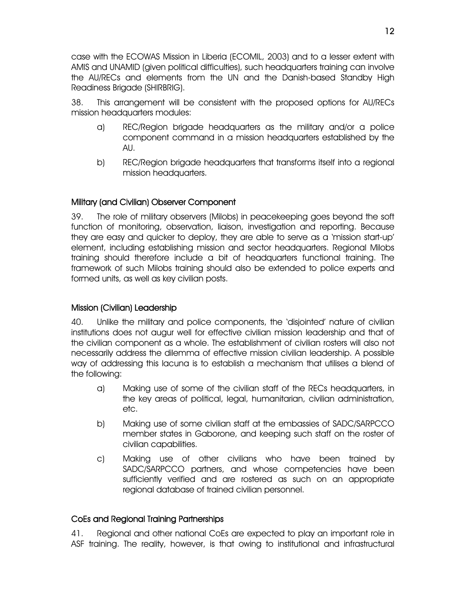case with the ECOWAS Mission in Liberia (ECOMIL, 2003) and to a lesser extent with AMIS and UNAMID (given political difficulties), such headquarters training can involve the AU/RECs and elements from the UN and the Danish-based Standby High Readiness Brigade (SHIRBRIG).

38. This arrangement will be consistent with the proposed options for AU/RECs mission headquarters modules:

- a) REC/Region brigade headquarters as the military and/or a police component command in a mission headquarters established by the AU.
- b) REC/Region brigade headquarters that transforms itself into a regional mission headquarters.

#### Military (and Civilian) Observer Component

39. The role of military observers (Milobs) in peacekeeping goes beyond the soft function of monitoring, observation, liaison, investigation and reporting. Because they are easy and quicker to deploy, they are able to serve as a 'mission start-up' element, including establishing mission and sector headquarters. Regional Milobs training should therefore include a bit of headquarters functional training. The framework of such Milobs training should also be extended to police experts and formed units, as well as key civilian posts.

#### Mission (Civilian) Leadership

40. Unlike the military and police components, the 'disjointed' nature of civilian institutions does not augur well for effective civilian mission leadership and that of the civilian component as a whole. The establishment of civilian rosters will also not necessarily address the dilemma of effective mission civilian leadership. A possible way of addressing this lacuna is to establish a mechanism that utilises a blend of the following:

- a) Making use of some of the civilian staff of the RECs headquarters, in the key areas of political, legal, humanitarian, civilian administration, etc.
- b) Making use of some civilian staff at the embassies of SADC/SARPCCO member states in Gaborone, and keeping such staff on the roster of civilian capabilities.
- c) Making use of other civilians who have been trained by SADC/SARPCCO partners, and whose competencies have been sufficiently verified and are rostered as such on an appropriate regional database of trained civilian personnel.

#### CoEs and Regional Training Partnerships

41. Regional and other national CoEs are expected to play an important role in ASF training. The reality, however, is that owing to institutional and infrastructural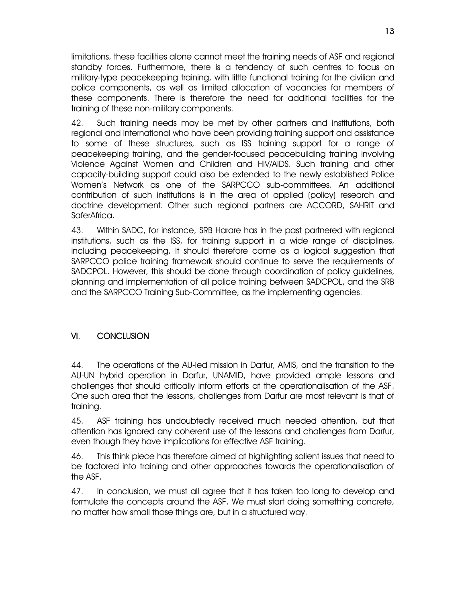limitations, these facilities alone cannot meet the training needs of ASF and regional standby forces. Furthermore, there is a tendency of such centres to focus on military-type peacekeeping training, with little functional training for the civilian and police components, as well as limited allocation of vacancies for members of these components. There is therefore the need for additional facilities for the training of these non-military components.

42. Such training needs may be met by other partners and institutions, both regional and international who have been providing training support and assistance to some of these structures, such as ISS training support for a range of peacekeeping training, and the gender-focused peacebuilding training involving Violence Against Women and Children and HIV/AIDS. Such training and other capacity-building support could also be extended to the newly established Police Women's Network as one of the SARPCCO sub-committees. An additional contribution of such institutions is in the area of applied (policy) research and doctrine development. Other such regional partners are ACCORD, SAHRIT and SaferAfrica.

43. Within SADC, for instance, SRB Harare has in the past partnered with regional institutions, such as the ISS, for training support in a wide range of disciplines, including peacekeeping. It should therefore come as a logical suggestion that SARPCCO police training framework should continue to serve the requirements of SADCPOL. However, this should be done through coordination of policy guidelines, planning and implementation of all police training between SADCPOL, and the SRB and the SARPCCO Training Sub-Committee, as the implementing agencies.

# VI. CONCLUSION

44. The operations of the AU-led mission in Darfur, AMIS, and the transition to the AU-UN hybrid operation in Darfur, UNAMID, have provided ample lessons and challenges that should critically inform efforts at the operationalisation of the ASF. One such area that the lessons, challenges from Darfur are most relevant is that of training.

45. ASF training has undoubtedly received much needed attention, but that attention has ignored any coherent use of the lessons and challenges from Darfur, even though they have implications for effective ASF training.

46. This think piece has therefore aimed at highlighting salient issues that need to be factored into training and other approaches towards the operationalisation of the ASF.

47. In conclusion, we must all agree that it has taken too long to develop and formulate the concepts around the ASF. We must start doing something concrete, no matter how small those things are, but in a structured way.